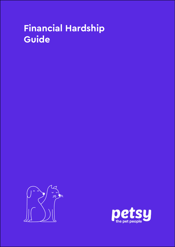## **Financial Hardship Guide**



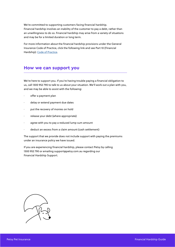We're committed to supporting customers facing financial hardship. Financial hardship involves an inability of the customer to pay a debt, rather than an unwillingness to do so. Financial hardship may arise from a variety of situations and may be for a limited duration or long term.

For more information about the financial hardship provisions under the General Insurance Code of Practice, click the following link and see Part 10 (Financial Hardship): [Code of Practice.](https://insurancecouncil.com.au/wp-content/uploads/2021/10/ICA007_COP_Report_2021-Updates_2.1_LR.pdf)

## **How we can support you**

We're here to support you. If you're having trouble paying a financial obligation to us, call 1300 952 790 to talk to us about your situation. We'll work out a plan with you, and we may be able to assist with the following:

- offer a payment plan
- delay or extend payment due dates
- put the recovery of monies on hold
- release your debt (where appropriate)
- agree with you to pay a reduced lump sum amount
- deduct an excess from a claim amount (cash settlement)

The support that we provide does not include support with paying the premiums under an insurance policy we have issued.

If you are experiencing financial hardship, please contact Petsy by calling 1300 952 790 or emailing support@petsy.com.au regarding our Financial Hardship Support.

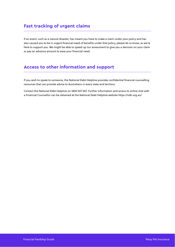## **Fast tracking of urgent claims**

If an event, such as a natural disaster, has meant you have to make a claim under your policy and has also caused you to be in urgent financial need of benefits under that policy, please let us know, as we're here to support you. We might be able to speed up our assessment to give you a decision on your claim or pay an advance amount to ease your financial need.

## **Access to other information and support**

If you wish to speak to someone, the National Debt Helpline provides confidential financial counselling resources that can provide advice to Australians in every state and territory:

Contact the National Debt Helpline on 1800 007 007. Further information and access to online chat with a Financial Counsellor can be obtained at the National Debt Helpline website https://ndh.org.au/